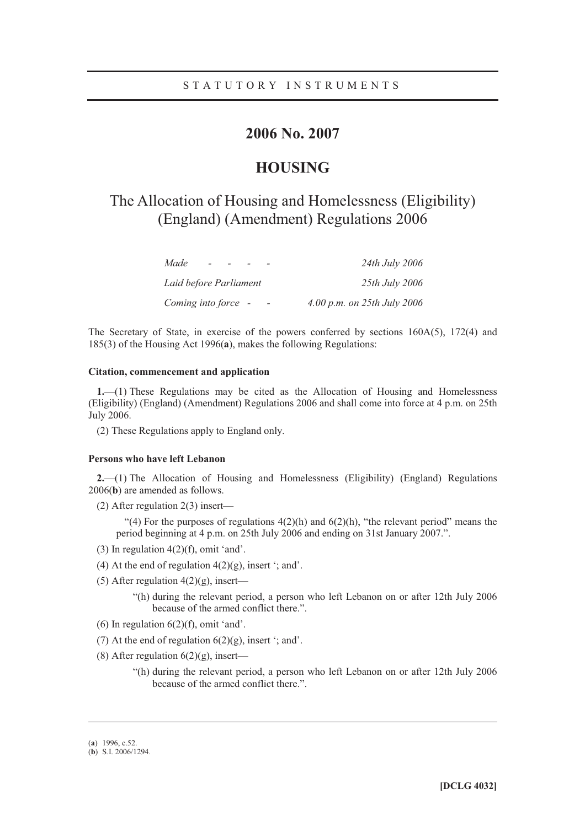### **2006 No. 2007**

### **HOUSING**

# The Allocation of Housing and Homelessness (Eligibility) (England) (Amendment) Regulations 2006

| Made<br>$\overline{\phantom{a}}$ | 24th July 2006              |
|----------------------------------|-----------------------------|
| Laid before Parliament           | 25th July 2006              |
| Coming into force -              | 4.00 p.m. on 25th July 2006 |

The Secretary of State, in exercise of the powers conferred by sections  $160A(5)$ ,  $172(4)$  and 185(3) of the Housing Act 1996(**a**), makes the following Regulations:

#### **Citation, commencement and application**

**1.**—(1) These Regulations may be cited as the Allocation of Housing and Homelessness (Eligibility) (England) (Amendment) Regulations 2006 and shall come into force at 4 p.m. on 25th July 2006.

(2) These Regulations apply to England only.

#### **Persons who have left Lebanon**

**2.**—(1) The Allocation of Housing and Homelessness (Eligibility) (England) Regulations 2006(**b**) are amended as follows.

(2) After regulation 2(3) insert—

"(4) For the purposes of regulations  $4(2)(h)$  and  $6(2)(h)$ , "the relevant period" means the period beginning at 4 p.m. on 25th July 2006 and ending on 31st January 2007.".

- (3) In regulation  $4(2)(f)$ , omit 'and'.
- (4) At the end of regulation  $4(2)(g)$ , insert '; and'.
- (5) After regulation  $4(2)(g)$ , insert—

"(h) during the relevant period, a person who left Lebanon on or after 12th July 2006 because of the armed conflict there.".

- (6) In regulation  $6(2)(f)$ , omit 'and'.
- (7) At the end of regulation  $6(2)(g)$ , insert '; and'.
- (8) After regulation  $6(2)(g)$ , insert—
	- "(h) during the relevant period, a person who left Lebanon on or after 12th July 2006 because of the armed conflict there.".

-

<sup>(</sup>**a**) 1996, c.52.

<sup>(</sup>**b**) S.I. 2006/1294.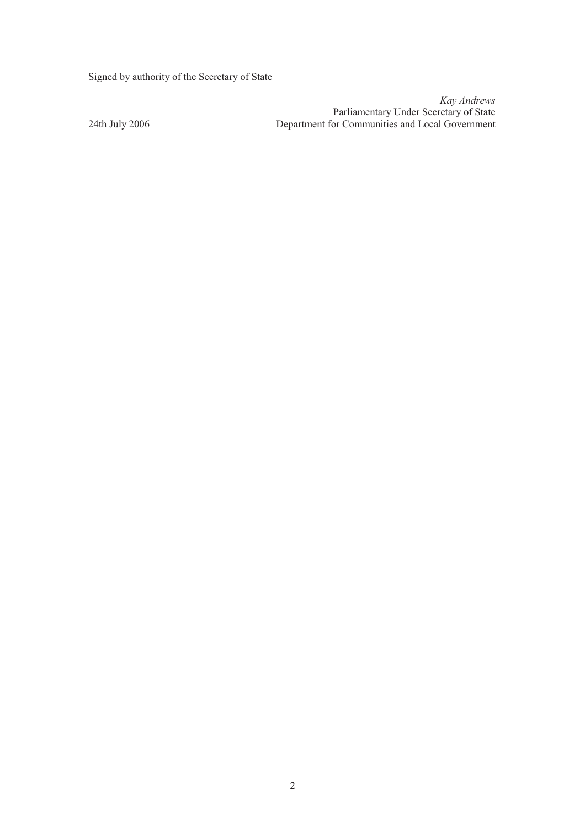Signed by authority of the Secretary of State

*Kay Andrews*  Parliamentary Under Secretary of State 24th July 2006 Department for Communities and Local Government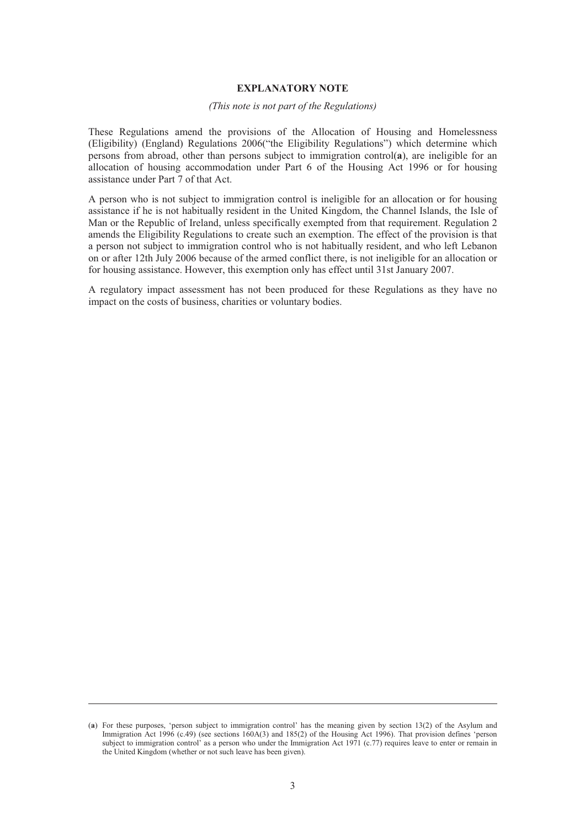#### **EXPLANATORY NOTE**

#### *(This note is not part of the Regulations)*

These Regulations amend the provisions of the Allocation of Housing and Homelessness (Eligibility) (England) Regulations 2006("the Eligibility Regulations") which determine which persons from abroad, other than persons subject to immigration control(**a**), are ineligible for an allocation of housing accommodation under Part 6 of the Housing Act 1996 or for housing assistance under Part 7 of that Act.

A person who is not subject to immigration control is ineligible for an allocation or for housing assistance if he is not habitually resident in the United Kingdom, the Channel Islands, the Isle of Man or the Republic of Ireland, unless specifically exempted from that requirement. Regulation 2 amends the Eligibility Regulations to create such an exemption. The effect of the provision is that a person not subject to immigration control who is not habitually resident, and who left Lebanon on or after 12th July 2006 because of the armed conflict there, is not ineligible for an allocation or for housing assistance. However, this exemption only has effect until 31st January 2007.

A regulatory impact assessment has not been produced for these Regulations as they have no impact on the costs of business, charities or voluntary bodies.

-

<sup>(</sup>**a**) For these purposes, 'person subject to immigration control' has the meaning given by section 13(2) of the Asylum and Immigration Act 1996 (c.49) (see sections 160A(3) and 185(2) of the Housing Act 1996). That provision defines 'person subject to immigration control' as a person who under the Immigration Act 1971 (c.77) requires leave to enter or remain in the United Kingdom (whether or not such leave has been given).